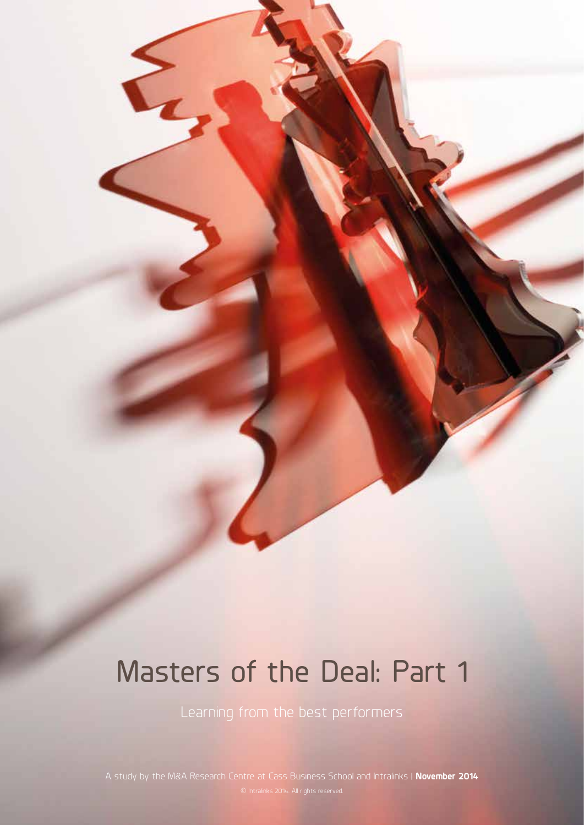# Masters of the Deal: Part 1

Learning from the best performers

A study by the M&A Research Centre at Cass Business School and Intralinks | **November 2014**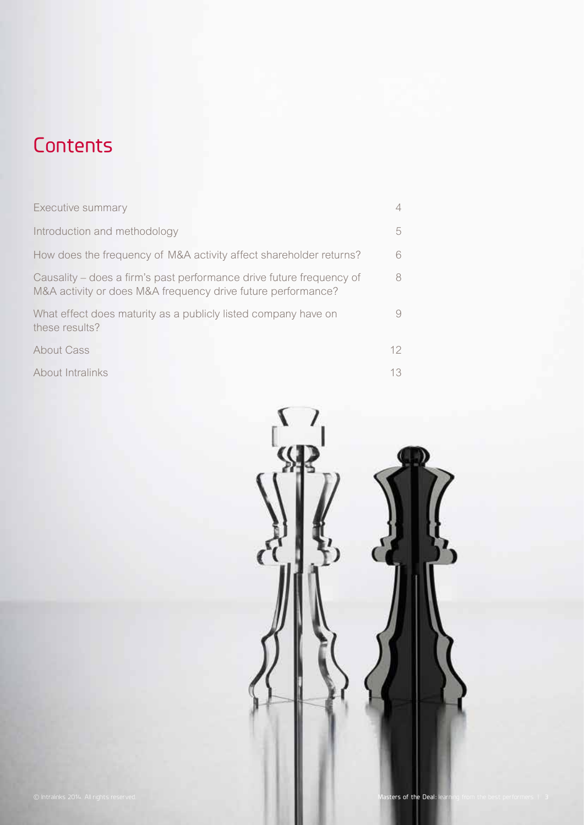

## **Contents**

| Executive summary                                                                                                                    | 4               |
|--------------------------------------------------------------------------------------------------------------------------------------|-----------------|
| Introduction and methodology                                                                                                         | 5               |
| How does the frequency of M&A activity affect shareholder returns?                                                                   | 6               |
| Causality – does a firm's past performance drive future frequency of<br>M&A activity or does M&A frequency drive future performance? | 8               |
| What effect does maturity as a publicly listed company have on<br>these results?                                                     | 9.              |
| About Cass                                                                                                                           | 12 <sup>°</sup> |
| About Intralinks                                                                                                                     | 13              |

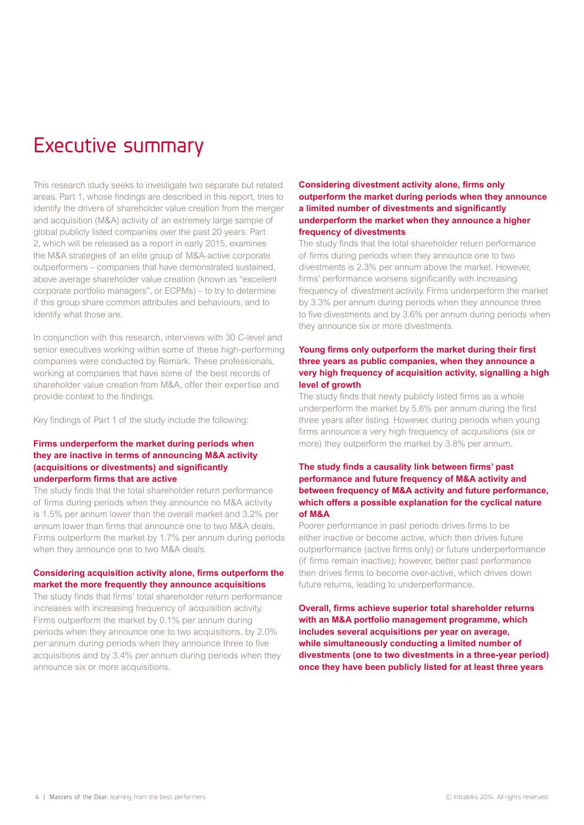### Executive summary

This research study seeks to investigate two separate but related areas. Part 1, whose findings are described in this report, tries to identify the drivers of shareholder value creation from the merger and acquisition (M&A) activity of an extremely large sample of global publicly listed companies over the past 20 years. Part 2, which will be released as a report in early 2015, examines the M&A strategies of an elite group of M&A-active corporate outperformers – companies that have demonstrated sustained, above average shareholder value creation (known as "excellent corporate portfolio managers", or ECPMs) – to try to determine if this group share common attributes and behaviours, and to identify what those are.

In conjunction with this research, interviews with 30 C-level and senior executives working within some of these high-performing companies were conducted by Remark. These professionals, working at companies that have some of the best records of shareholder value creation from M&A, offer their expertise and provide context to the findings.

Key findings of Part 1 of the study include the following:

#### **Firms underperform the market during periods when they are inactive in terms of announcing M&A activity (acquisitions or divestments) and significantly underperform firms that are active**

The study finds that the total shareholder return performance of firms during periods when they announce no M&A activity is 1.5% per annum lower than the overall market and 3.2% per annum lower than firms that announce one to two M&A deals. Firms outperform the market by 1.7% per annum during periods when they announce one to two M&A deals.

#### **Considering acquisition activity alone, firms outperform the market the more frequently they announce acquisitions**

The study finds that firms' total shareholder return performance increases with increasing frequency of acquisition activity. Firms outperform the market by 0.1% per annum during periods when they announce one to two acquisitions, by 2.0% per annum during periods when they announce three to five acquisitions and by 3.4% per annum during periods when they announce six or more acquisitions.

#### **Considering divestment activity alone, firms only outperform the market during periods when they announce a limited number of divestments and significantly underperform the market when they announce a higher frequency of divestments**

The study finds that the total shareholder return performance of firms during periods when they announce one to two divestments is 2.3% per annum above the market. However, firms' performance worsens significantly with increasing frequency of divestment activity. Firms underperform the market by 3.3% per annum during periods when they announce three to five divestments and by 3.6% per annum during periods when they announce six or more divestments.

#### **Young firms only outperform the market during their first three years as public companies, when they announce a very high frequency of acquisition activity, signalling a high level of growth**

The study finds that newly publicly listed firms as a whole underperform the market by 5.6% per annum during the first three years after listing. However, during periods when young firms announce a very high frequency of acquisitions (six or more) they outperform the market by 3.8% per annum.

#### **The study finds a causality link between firms' past performance and future frequency of M&A activity and between frequency of M&A activity and future performance, which offers a possible explanation for the cyclical nature of M&A**

Poorer performance in past periods drives firms to be either inactive or become active, which then drives future outperformance (active firms only) or future underperformance (if firms remain inactive); however, better past performance then drives firms to become over-active, which drives down future returns, leading to underperformance.

**Overall, firms achieve superior total shareholder returns with an M&A portfolio management programme, which includes several acquisitions per year on average, while simultaneously conducting a limited number of divestments (one to two divestments in a three-year period) once they have been publicly listed for at least three years**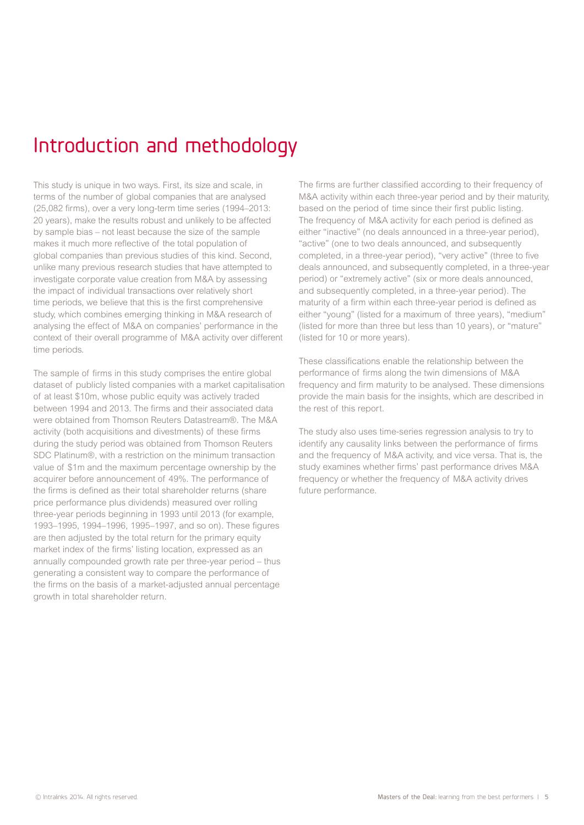## Introduction and methodology

This study is unique in two ways. First, its size and scale, in terms of the number of global companies that are analysed (25,082 firms), over a very long-term time series (1994–2013: 20 years), make the results robust and unlikely to be affected by sample bias – not least because the size of the sample makes it much more reflective of the total population of global companies than previous studies of this kind. Second, unlike many previous research studies that have attempted to investigate corporate value creation from M&A by assessing the impact of individual transactions over relatively short time periods, we believe that this is the first comprehensive study, which combines emerging thinking in M&A research of analysing the effect of M&A on companies' performance in the context of their overall programme of M&A activity over different time periods.

The sample of firms in this study comprises the entire global dataset of publicly listed companies with a market capitalisation of at least \$10m, whose public equity was actively traded between 1994 and 2013. The firms and their associated data were obtained from Thomson Reuters Datastream®. The M&A activity (both acquisitions and divestments) of these firms during the study period was obtained from Thomson Reuters SDC Platinum®, with a restriction on the minimum transaction value of \$1m and the maximum percentage ownership by the acquirer before announcement of 49%. The performance of the firms is defined as their total shareholder returns (share price performance plus dividends) measured over rolling three-year periods beginning in 1993 until 2013 (for example, 1993–1995, 1994–1996, 1995–1997, and so on). These figures are then adjusted by the total return for the primary equity market index of the firms' listing location, expressed as an annually compounded growth rate per three-year period – thus generating a consistent way to compare the performance of the firms on the basis of a market-adjusted annual percentage growth in total shareholder return.

The firms are further classified according to their frequency of M&A activity within each three-year period and by their maturity, based on the period of time since their first public listing. The frequency of M&A activity for each period is defined as either "inactive" (no deals announced in a three-year period), "active" (one to two deals announced, and subsequently completed, in a three-year period), "very active" (three to five deals announced, and subsequently completed, in a three-year period) or "extremely active" (six or more deals announced, and subsequently completed, in a three-year period). The maturity of a firm within each three-year period is defined as either "young" (listed for a maximum of three years), "medium" (listed for more than three but less than 10 years), or "mature" (listed for 10 or more years).

These classifications enable the relationship between the performance of firms along the twin dimensions of M&A frequency and firm maturity to be analysed. These dimensions provide the main basis for the insights, which are described in the rest of this report.

The study also uses time-series regression analysis to try to identify any causality links between the performance of firms and the frequency of M&A activity, and vice versa. That is, the study examines whether firms' past performance drives M&A frequency or whether the frequency of M&A activity drives future performance.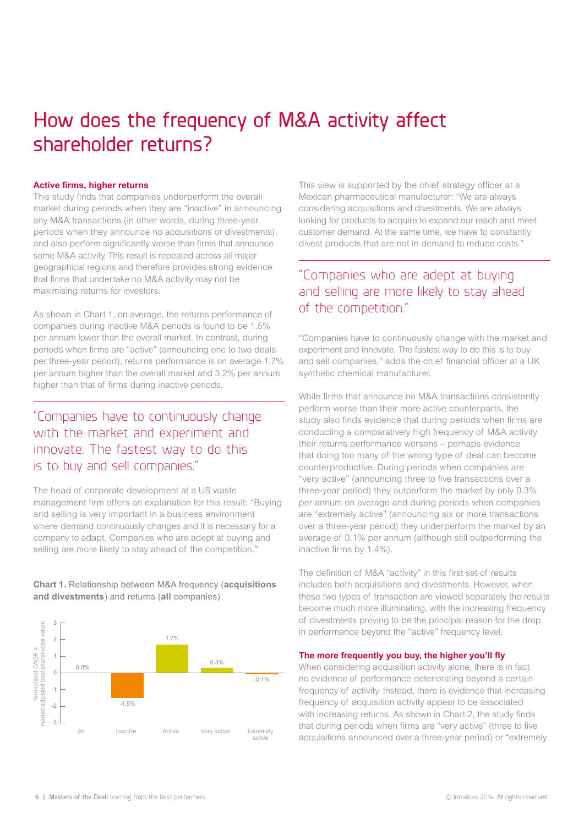## How does the frequency of M&A activity affect shareholder returns?

#### **Active firms, higher returns**

This study finds that companies underperform the overall market during periods when they are "inactive" in announcing any M&A transactions (in other words, during three-year periods when they announce no acquisitions or divestments), and also perform significantly worse than firms that announce some M&A activity. This result is repeated across all major geographical regions and therefore provides strong evidence that firms that undertake no M&A activity may not be maximising returns for investors.

As shown in Chart 1, on average, the returns performance of companies during inactive M&A periods is found to be 1.5% per annum lower than the overall market. In contrast, during periods when firms are "active" (announcing one to two deals per three-year period), returns performance is on average 1.7% per annum higher than the overall market and 3.2% per annum higher than that of firms during inactive periods.

### "Companies have to continuously change with the market and experiment and innovate. The fastest way to do this is to buy and sell companies."

The head of corporate development at a US waste management firm offers an explanation for this result: "Buying and selling is very important in a business environment where demand continuously changes and it is necessary for a company to adapt. Companies who are adept at buying and selling are more likely to stay ahead of the competition."

**Chart 1.** Relationship between M&A frequency (**acquisitions and divestments**) and returns (**all** companies)



This view is supported by the chief strategy officer at a Mexican pharmaceutical manufacturer: "We are always considering acquisitions and divestments. We are always looking for products to acquire to expand our reach and meet customer demand. At the same time, we have to constantly divest products that are not in demand to reduce costs."

### "Companies who are adept at buying and selling are more likely to stay ahead of the competition."

"Companies have to continuously change with the market and experiment and innovate. The fastest way to do this is to buy and sell companies," adds the chief financial officer at a UK synthetic chemical manufacturer.

While firms that announce no M&A transactions consistently perform worse than their more active counterparts, the study also finds evidence that during periods when firms are conducting a comparatively high frequency of M&A activity their returns performance worsens – perhaps evidence that doing too many of the wrong type of deal can become counterproductive. During periods when companies are "very active" (announcing three to five transactions over a three-year period) they outperform the market by only 0.3% per annum on average and during periods when companies are "extremely active" (announcing six or more transactions over a three-year period) they underperform the market by an average of 0.1% per annum (although still outperforming the inactive firms by 1.4%).

The definition of M&A "activity" in this first set of results includes both acquisitions and divestments. However, when these two types of transaction are viewed separately the results become much more illuminating, with the increasing frequency of divestments proving to be the principal reason for the drop in performance beyond the "active" frequency level.

#### **The more frequently you buy, the higher you'll fly**

When considering acquisition activity alone, there is in fact no evidence of performance deteriorating beyond a certain frequency of activity. Instead, there is evidence that increasing frequency of acquisition activity appear to be associated with increasing returns. As shown in Chart 2, the study finds that during periods when firms are "very active" (three to five acquisitions announced over a three-year period) or "extremely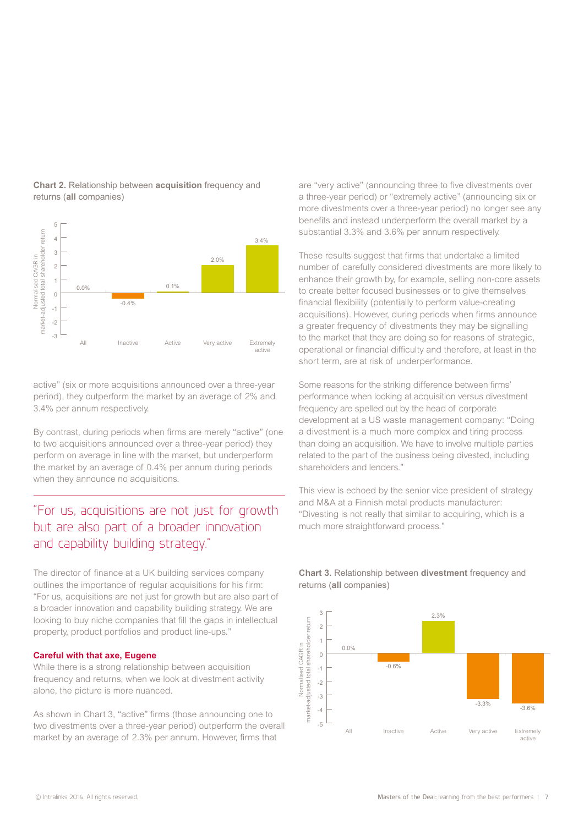

**Chart 2.** Relationship between **acquisition** frequency and returns (**all** companies)

active" (six or more acquisitions announced over a three-year period), they outperform the market by an average of 2% and 3.4% per annum respectively.

By contrast, during periods when firms are merely "active" (one to two acquisitions announced over a three-year period) they perform on average in line with the market, but underperform the market by an average of 0.4% per annum during periods when they announce no acquisitions.

### "For us, acquisitions are not just for growth but are also part of a broader innovation and capability building strategy."

The director of finance at a UK building services company outlines the importance of regular acquisitions for his firm: "For us, acquisitions are not just for growth but are also part of a broader innovation and capability building strategy. We are looking to buy niche companies that fill the gaps in intellectual property, product portfolios and product line-ups."

#### **Careful with that axe, Eugene**

While there is a strong relationship between acquisition frequency and returns, when we look at divestment activity alone, the picture is more nuanced.

As shown in Chart 3, "active" firms (those announcing one to two divestments over a three-year period) outperform the overall market by an average of 2.3% per annum. However, firms that

are "very active" (announcing three to five divestments over a three-year period) or "extremely active" (announcing six or more divestments over a three-year period) no longer see any benefits and instead underperform the overall market by a substantial 3.3% and 3.6% per annum respectively.

These results suggest that firms that undertake a limited number of carefully considered divestments are more likely to enhance their growth by, for example, selling non-core assets to create better focused businesses or to give themselves financial flexibility (potentially to perform value-creating acquisitions). However, during periods when firms announce a greater frequency of divestments they may be signalling to the market that they are doing so for reasons of strategic, operational or financial difficulty and therefore, at least in the short term, are at risk of underperformance.

Some reasons for the striking difference between firms' performance when looking at acquisition versus divestment frequency are spelled out by the head of corporate development at a US waste management company: "Doing a divestment is a much more complex and tiring process than doing an acquisition. We have to involve multiple parties related to the part of the business being divested, including shareholders and lenders."

This view is echoed by the senior vice president of strategy and M&A at a Finnish metal products manufacturer: "Divesting is not really that similar to acquiring, which is a much more straightforward process."



#### **Chart 3.** Relationship between **divestment** frequency and returns (**all** companies)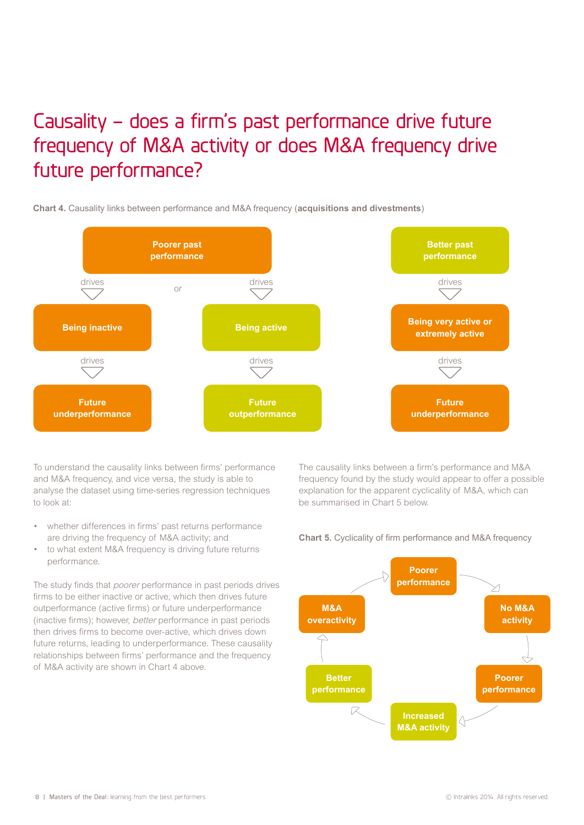## Causality – does a firm's past performance drive future frequency of M&A activity or does M&A frequency drive future performance?

**Chart 4.** Causality links between performance and M&A frequency (**acquisitions and divestments**)



To understand the causality links between firms' performance and M&A frequency, and vice versa, the study is able to analyse the dataset using time-series regression techniques to look at:

- whether differences in firms' past returns performance are driving the frequency of M&A activity; and
- to what extent M&A frequency is driving future returns performance.

The study finds that *poorer* performance in past periods drives firms to be either inactive or active, which then drives future outperformance (active firms) or future underperformance (inactive firms); however, better performance in past periods then drives firms to become over-active, which drives down future returns, leading to underperformance. These causality relationships between firms' performance and the frequency of M&A activity are shown in Chart 4 above.

The causality links between a firm's performance and M&A frequency found by the study would appear to offer a possible explanation for the apparent cyclicality of M&A, which can be summarised in Chart 5 below.





8 | Masters of the Deal: learning from the best performers © Intralinks 2014. All rights reserved.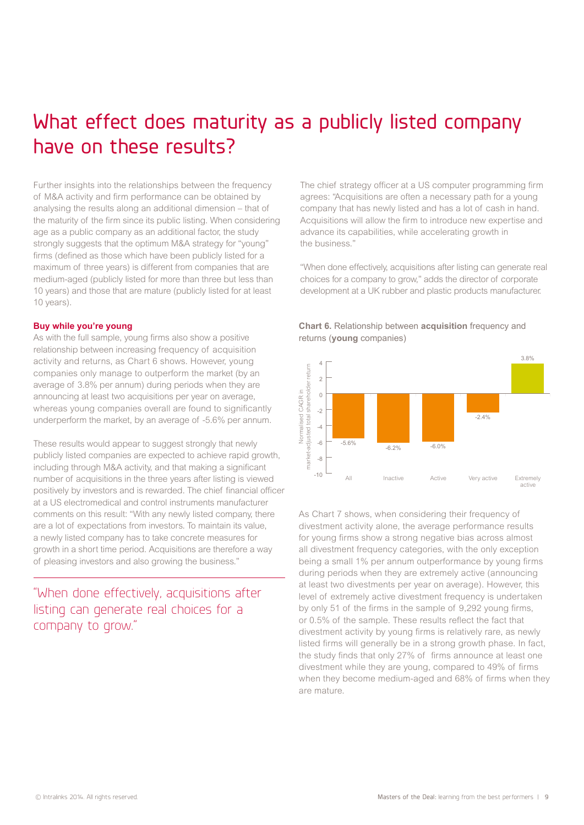### What effect does maturity as a publicly listed company have on these results?

Further insights into the relationships between the frequency of M&A activity and firm performance can be obtained by analysing the results along an additional dimension – that of the maturity of the firm since its public listing. When considering age as a public company as an additional factor, the study strongly suggests that the optimum M&A strategy for "young" firms (defined as those which have been publicly listed for a maximum of three years) is different from companies that are medium-aged (publicly listed for more than three but less than 10 years) and those that are mature (publicly listed for at least 10 years).

#### **Buy while you're young**

As with the full sample, young firms also show a positive relationship between increasing frequency of acquisition activity and returns, as Chart 6 shows. However, young companies only manage to outperform the market (by an average of 3.8% per annum) during periods when they are announcing at least two acquisitions per year on average, whereas young companies overall are found to significantly underperform the market, by an average of -5.6% per annum.

These results would appear to suggest strongly that newly publicly listed companies are expected to achieve rapid growth, including through M&A activity, and that making a significant number of acquisitions in the three years after listing is viewed positively by investors and is rewarded. The chief financial officer at a US electromedical and control instruments manufacturer comments on this result: "With any newly listed company, there are a lot of expectations from investors. To maintain its value, a newly listed company has to take concrete measures for growth in a short time period. Acquisitions are therefore a way of pleasing investors and also growing the business."

"When done effectively, acquisitions after listing can generate real choices for a company to grow."

The chief strategy officer at a US computer programming firm agrees: "Acquisitions are often a necessary path for a young company that has newly listed and has a lot of cash in hand. Acquisitions will allow the firm to introduce new expertise and advance its capabilities, while accelerating growth in the business."

"When done effectively, acquisitions after listing can generate real choices for a company to grow," adds the director of corporate development at a UK rubber and plastic products manufacturer.





As Chart 7 shows, when considering their frequency of divestment activity alone, the average performance results for young firms show a strong negative bias across almost all divestment frequency categories, with the only exception being a small 1% per annum outperformance by young firms during periods when they are extremely active (announcing at least two divestments per year on average). However, this level of extremely active divestment frequency is undertaken by only 51 of the firms in the sample of 9,292 young firms, or 0.5% of the sample. These results reflect the fact that divestment activity by young firms is relatively rare, as newly listed firms will generally be in a strong growth phase. In fact, the study finds that only 27% of firms announce at least one divestment while they are young, compared to 49% of firms when they become medium-aged and 68% of firms when they are mature.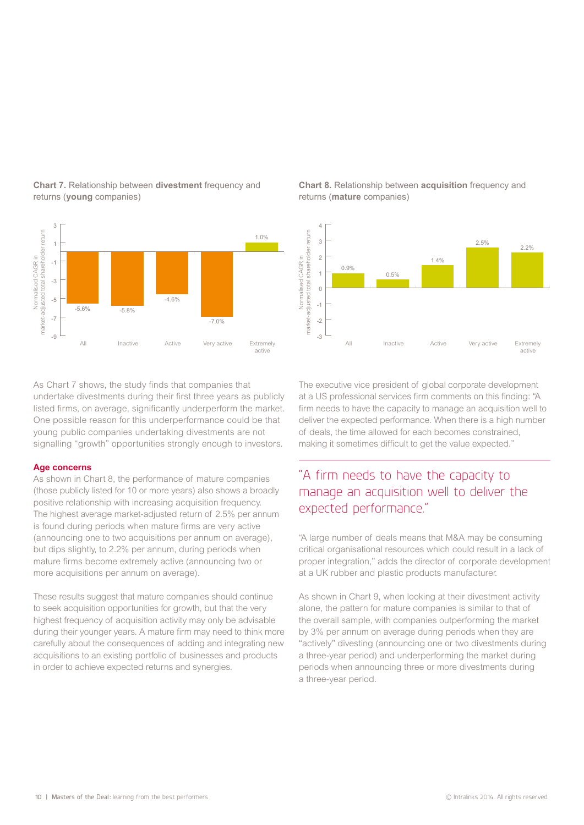

**Chart 7.** Relationship between **divestment** frequency and returns (**young** companies)

As Chart 7 shows, the study finds that companies that undertake divestments during their first three years as publicly listed firms, on average, significantly underperform the market. One possible reason for this underperformance could be that young public companies undertaking divestments are not signalling "growth" opportunities strongly enough to investors.

#### **Age concerns**

As shown in Chart 8, the performance of mature companies (those publicly listed for 10 or more years) also shows a broadly positive relationship with increasing acquisition frequency. The highest average market-adjusted return of 2.5% per annum is found during periods when mature firms are very active (announcing one to two acquisitions per annum on average), but dips slightly, to 2.2% per annum, during periods when mature firms become extremely active (announcing two or more acquisitions per annum on average).

These results suggest that mature companies should continue to seek acquisition opportunities for growth, but that the very highest frequency of acquisition activity may only be advisable during their younger years. A mature firm may need to think more carefully about the consequences of adding and integrating new acquisitions to an existing portfolio of businesses and products in order to achieve expected returns and synergies.

**Chart 8.** Relationship between **acquisition** frequency and returns (**mature** companies)



The executive vice president of global corporate development at a US professional services firm comments on this finding: "A firm needs to have the capacity to manage an acquisition well to deliver the expected performance. When there is a high number of deals, the time allowed for each becomes constrained, making it sometimes difficult to get the value expected."

### "A firm needs to have the capacity to manage an acquisition well to deliver the expected performance."

"A large number of deals means that M&A may be consuming critical organisational resources which could result in a lack of proper integration," adds the director of corporate development at a UK rubber and plastic products manufacturer.

As shown in Chart 9, when looking at their divestment activity alone, the pattern for mature companies is similar to that of the overall sample, with companies outperforming the market by 3% per annum on average during periods when they are "actively" divesting (announcing one or two divestments during a three-year period) and underperforming the market during periods when announcing three or more divestments during a three-year period.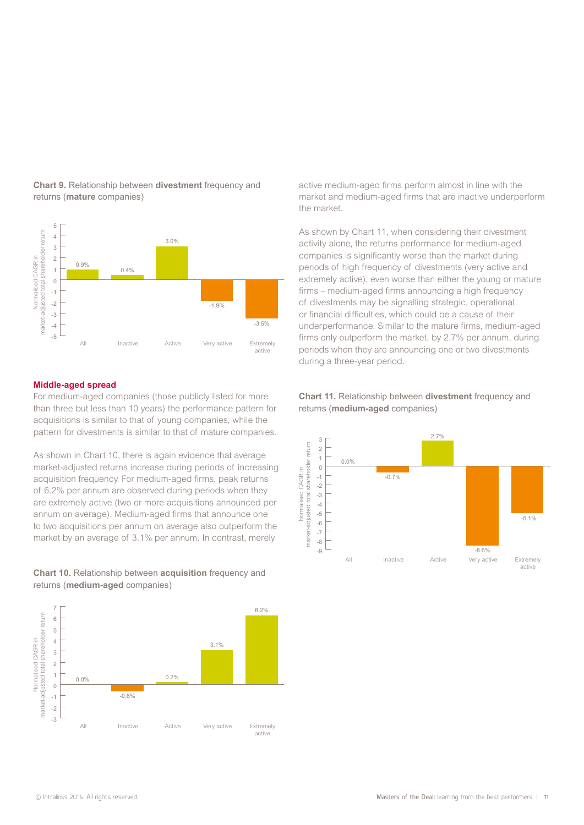

**Chart 9.** Relationship between **divestment** frequency and returns (**mature** companies)

#### **Middle-aged spread**

For medium-aged companies (those publicly listed for more than three but less than 10 years) the performance pattern for acquisitions is similar to that of young companies, while the pattern for divestments is similar to that of mature companies.

As shown in Chart 10, there is again evidence that average market-adjusted returns increase during periods of increasing acquisition frequency. For medium-aged firms, peak returns of 6.2% per annum are observed during periods when they are extremely active (two or more acquisitions announced per annum on average). Medium-aged firms that announce one to two acquisitions per annum on average also outperform the market by an average of 3.1% per annum. In contrast, merely

**Chart 10.** Relationship between **acquisition** frequency and returns (**medium-aged** companies)



active medium-aged firms perform almost in line with the market and medium-aged firms that are inactive underperform the market.

As shown by Chart 11, when considering their divestment activity alone, the returns performance for medium-aged companies is significantly worse than the market during periods of high frequency of divestments (very active and extremely active), even worse than either the young or mature firms – medium-aged firms announcing a high frequency of divestments may be signalling strategic, operational or financial difficulties, which could be a cause of their underperformance. Similar to the mature firms, medium-aged firms only outperform the market, by 2.7% per annum, during periods when they are announcing one or two divestments during a three-year period.



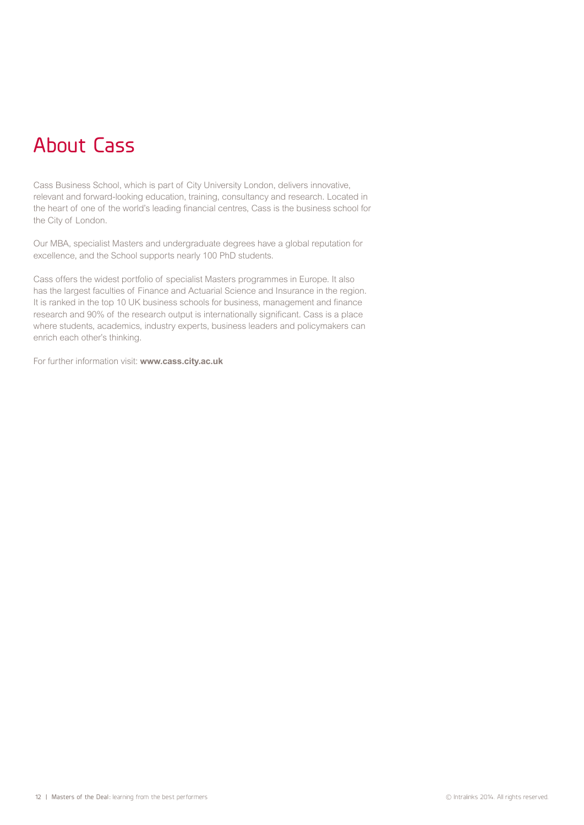## About Cass

Cass Business School, which is part of City University London, delivers innovative, relevant and forward-looking education, training, consultancy and research. Located in the heart of one of the world's leading financial centres, Cass is the business school for the City of London.

Our MBA, specialist Masters and undergraduate degrees have a global reputation for excellence, and the School supports nearly 100 PhD students.

Cass offers the widest portfolio of specialist Masters programmes in Europe. It also has the largest faculties of Finance and Actuarial Science and Insurance in the region. It is ranked in the top 10 UK business schools for business, management and finance research and 90% of the research output is internationally significant. Cass is a place where students, academics, industry experts, business leaders and policymakers can enrich each other's thinking.

For further information visit: **www.cass.city.ac.uk**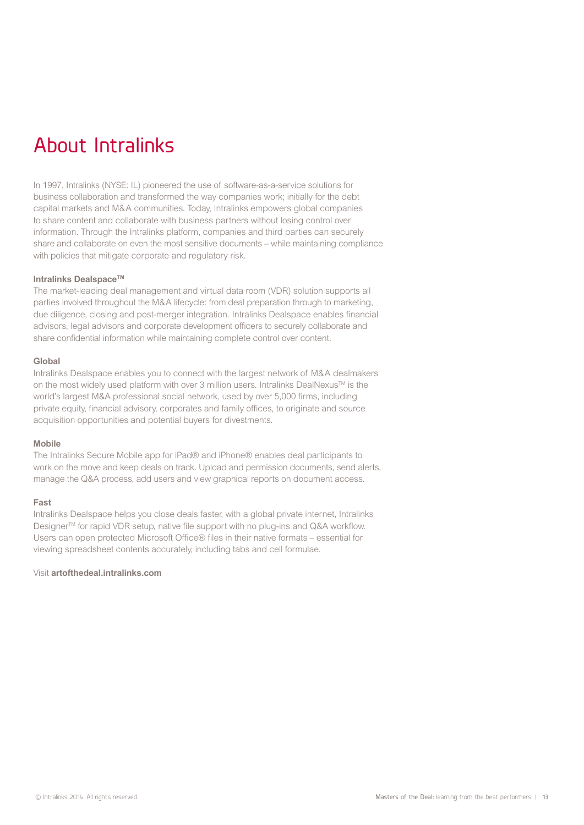## About Intralinks

In 1997, Intralinks (NYSE: IL) pioneered the use of software-as-a-service solutions for business collaboration and transformed the way companies work; initially for the debt capital markets and M&A communities. Today, Intralinks empowers global companies to share content and collaborate with business partners without losing control over information. Through the Intralinks platform, companies and third parties can securely share and collaborate on even the most sensitive documents – while maintaining compliance with policies that mitigate corporate and regulatory risk.

#### **Intralinks DealspaceTM**

The market-leading deal management and virtual data room (VDR) solution supports all parties involved throughout the M&A lifecycle: from deal preparation through to marketing, due diligence, closing and post-merger integration. Intralinks Dealspace enables financial advisors, legal advisors and corporate development officers to securely collaborate and share confidential information while maintaining complete control over content.

#### **Global**

Intralinks Dealspace enables you to connect with the largest network of M&A dealmakers on the most widely used platform with over 3 million users. Intralinks DealNexus<sup>TM</sup> is the world's largest M&A professional social network, used by over 5,000 firms, including private equity, financial advisory, corporates and family offices, to originate and source acquisition opportunities and potential buyers for divestments.

#### **Mobile**

The Intralinks Secure Mobile app for iPad® and iPhone® enables deal participants to work on the move and keep deals on track. Upload and permission documents, send alerts, manage the Q&A process, add users and view graphical reports on document access.

#### **Fast**

Intralinks Dealspace helps you close deals faster, with a global private internet, Intralinks Designer™ for rapid VDR setup, native file support with no plug-ins and Q&A workflow. Users can open protected Microsoft Office® files in their native formats – essential for viewing spreadsheet contents accurately, including tabs and cell formulae.

Visit **artofthedeal.intralinks.com**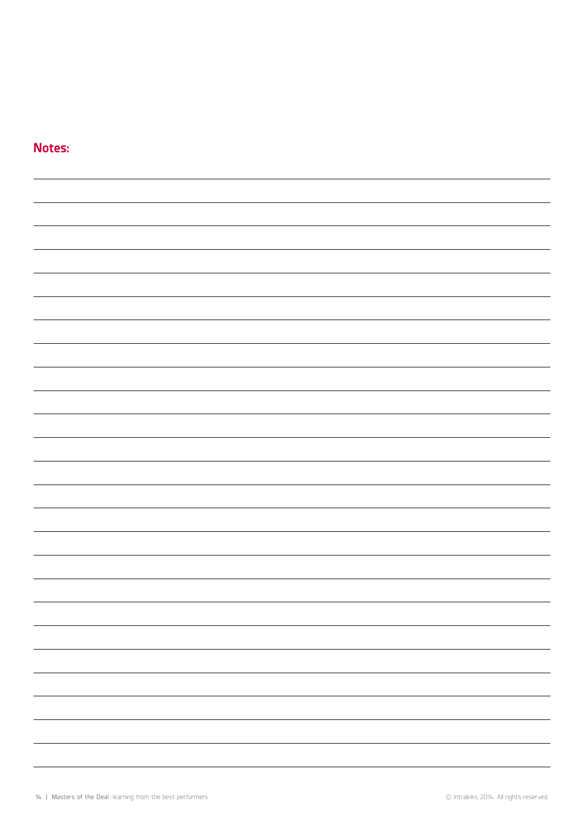### **Notes:**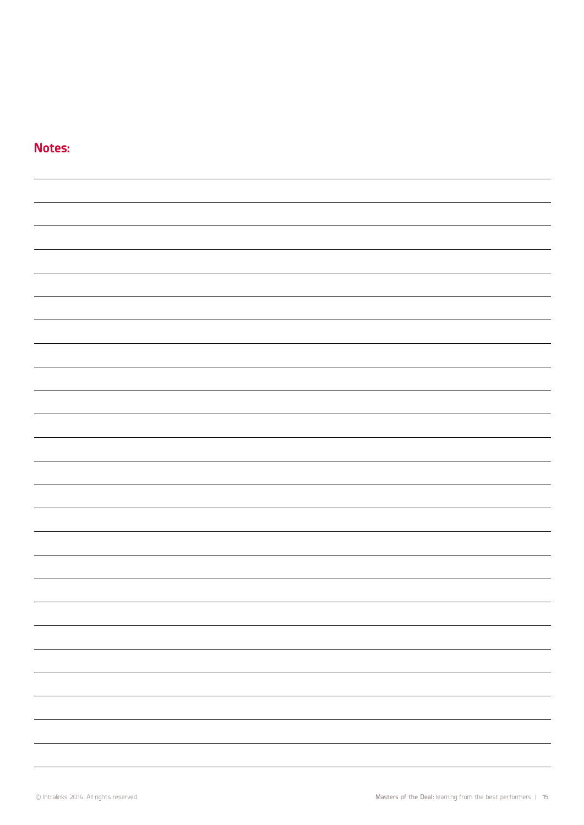### **Notes:**